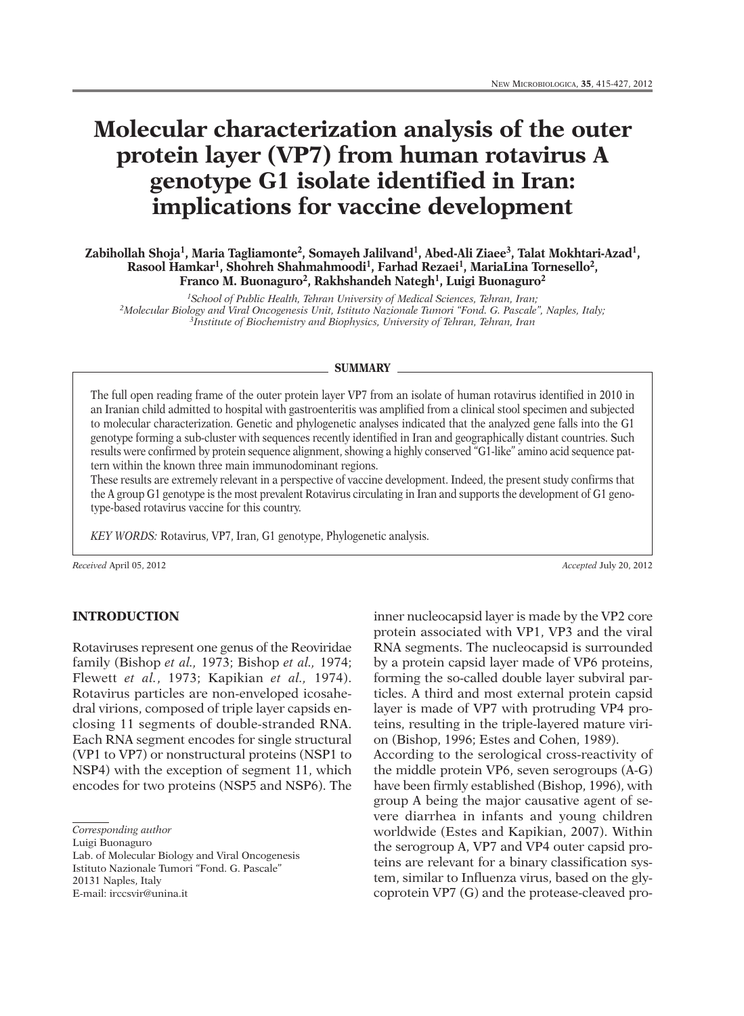# **Molecular characterization analysis of the outer protein layer (VP7) from human rotavirus A genotype G1 isolate identified in Iran: implications for vaccine development**

**Zabihollah Shoja1, Maria Tagliamonte2, Somayeh Jalilvand1, Abed-Ali Ziaee3, Talat Mokhtari-Azad1, Rasool Hamkar1, Shohreh Shahmahmoodi 1, Farhad Rezaei 1, MariaLina Tornesello2, Franco M. Buonaguro2, Rakhshandeh Nategh1, Luigi Buonaguro2**

*1School of Public Health, Tehran University of Medical Sciences, Tehran, Iran; 2Molecular Biology and Viral Oncogenesis Unit, Istituto Nazionale Tumori "Fond. G. Pascale", Naples, Italy; 3Institute of Biochemistry and Biophysics, University of Tehran, Tehran, Iran*

#### **SUMMARY**

The full open reading frame of the outer protein layer VP7 from an isolate of human rotavirus identified in 2010 in an Iranian child admitted to hospital with gastroenteritis was amplified from a clinical stool specimen and subjected to molecular characterization. Genetic and phylogenetic analyses indicated that the analyzed gene falls into the G1 genotype forming a sub-cluster with sequences recently identified in Iran and geographically distant countries. Such results were confirmed by protein sequence alignment, showing a highly conserved "G1-like" amino acid sequence pattern within the known three main immunodominant regions.

These results are extremely relevant in a perspective of vaccine development. Indeed, the present study confirms that the A group G1 genotype is the most prevalent Rotavirus circulating in Iran and supports the development of G1 genotype-based rotavirus vaccine for this country.

*KEY WORDS:* Rotavirus, VP7, Iran, G1 genotype, Phylogenetic analysis.

*Received* April 05, 2012 *Accepted* July 20, 2012

## **INTRODUCTION**

Rotaviruses represent one genus of the Reoviridae family (Bishop *et al.,* 1973; Bishop *et al.,* 1974; Flewett *et al.*, 1973; Kapikian *et al.,* 1974). Rotavirus particles are non-enveloped icosahedral virions, composed of triple layer capsids enclosing 11 segments of double-stranded RNA. Each RNA segment encodes for single structural (VP1 to VP7) or nonstructural proteins (NSP1 to NSP4) with the exception of segment 11, which encodes for two proteins (NSP5 and NSP6). The

Luigi Buonaguro

Lab. of Molecular Biology and Viral Oncogenesis Istituto Nazionale Tumori "Fond. G. Pascale" 20131 Naples, Italy E-mail: irccsvir@unina.it

inner nucleocapsid layer is made by the VP2 core protein associated with VP1, VP3 and the viral RNA segments. The nucleocapsid is surrounded by a protein capsid layer made of VP6 proteins, forming the so-called double layer subviral particles. A third and most external protein capsid layer is made of VP7 with protruding VP4 proteins, resulting in the triple-layered mature virion (Bishop, 1996; Estes and Cohen, 1989). According to the serological cross-reactivity of the middle protein VP6, seven serogroups (A-G) have been firmly established (Bishop, 1996), with group A being the major causative agent of severe diarrhea in infants and young children worldwide (Estes and Kapikian, 2007). Within the serogroup A, VP7 and VP4 outer capsid proteins are relevant for a binary classification system, similar to Influenza virus, based on the glycoprotein VP7 (G) and the protease-cleaved pro-

*Corresponding author*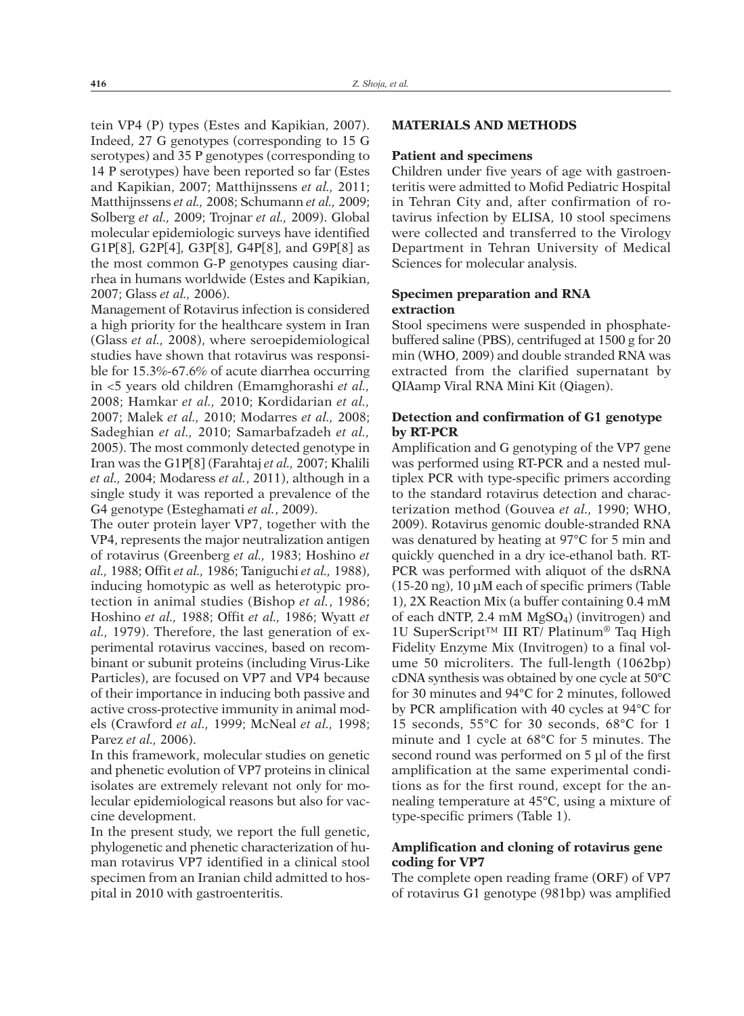tein VP4 (P) types (Estes and Kapikian, 2007). Indeed, 27 G genotypes (corresponding to 15 G serotypes) and 35 P genotypes (corresponding to 14 P serotypes) have been reported so far (Estes and Kapikian, 2007; Matthijnssens *et al.,* 2011; Matthijnssens *et al.,* 2008; Schumann *et al.,* 2009; Solberg *et al.,* 2009; Trojnar *et al.,* 2009). Global molecular epidemiologic surveys have identified G1P[8], G2P[4], G3P[8], G4P[8], and G9P[8] as the most common G-P genotypes causing diarrhea in humans worldwide (Estes and Kapikian, 2007; Glass *et al.,* 2006).

Management of Rotavirus infection is considered a high priority for the healthcare system in Iran (Glass *et al.,* 2008), where seroepidemiological studies have shown that rotavirus was responsible for 15.3%-67.6% of acute diarrhea occurring in <5 years old children (Emamghorashi *et al.,* 2008; Hamkar *et al.,* 2010; Kordidarian *et al.,* 2007; Malek *et al.,* 2010; Modarres *et al.,* 2008; Sadeghian *et al.,* 2010; Samarbafzadeh *et al.,* 2005). The most commonly detected genotype in Iran was the G1P[8] (Farahtaj *et al.,* 2007; Khalili *et al.,* 2004; Modaress *et al.*, 2011), although in a single study it was reported a prevalence of the G4 genotype (Esteghamati *et al.*, 2009).

The outer protein layer VP7, together with the VP4, represents the major neutralization antigen of rotavirus (Greenberg *et al.,* 1983; Hoshino *et al.,* 1988; Offit *et al.,* 1986; Taniguchi *et al.,* 1988), inducing homotypic as well as heterotypic protection in animal studies (Bishop *et al.*, 1986; Hoshino *et al.,* 1988; Offit *et al.,* 1986; Wyatt *et al.,* 1979). Therefore, the last generation of experimental rotavirus vaccines, based on recombinant or subunit proteins (including Virus-Like Particles), are focused on VP7 and VP4 because of their importance in inducing both passive and active cross-protective immunity in animal models (Crawford *et al.,* 1999; McNeal *et al.,* 1998; Parez *et al.,* 2006).

In this framework, molecular studies on genetic and phenetic evolution of VP7 proteins in clinical isolates are extremely relevant not only for molecular epidemiological reasons but also for vaccine development.

In the present study, we report the full genetic, phylogenetic and phenetic characterization of human rotavirus VP7 identified in a clinical stool specimen from an Iranian child admitted to hospital in 2010 with gastroenteritis.

# **MATERIALS AND METHODS**

#### **Patient and specimens**

Children under five years of age with gastroenteritis were admitted to Mofid Pediatric Hospital in Tehran City and, after confirmation of rotavirus infection by ELISA, 10 stool specimens were collected and transferred to the Virology Department in Tehran University of Medical Sciences for molecular analysis.

# **Specimen preparation and RNA extraction**

Stool specimens were suspended in phosphatebuffered saline (PBS), centrifuged at 1500 g for 20 min (WHO, 2009) and double stranded RNA was extracted from the clarified supernatant by QIAamp Viral RNA Mini Kit (Qiagen).

# **Detection and confirmation of G1 genotype by RT-PCR**

Amplification and G genotyping of the VP7 gene was performed using RT-PCR and a nested multiplex PCR with type-specific primers according to the standard rotavirus detection and characterization method (Gouvea *et al.,* 1990; WHO, 2009). Rotavirus genomic double-stranded RNA was denatured by heating at 97°C for 5 min and quickly quenched in a dry ice-ethanol bath. RT-PCR was performed with aliquot of the dsRNA (15-20 ng), 10 µM each of specific primers (Table 1), 2X Reaction Mix (a buffer containing 0.4 mM of each dNTP, 2.4 mM  $MgSO<sub>4</sub>$ ) (invitrogen) and 1U SuperScript™ III RT/ Platinum® Taq High Fidelity Enzyme Mix (Invitrogen) to a final volume 50 microliters. The full-length (1062bp) cDNA synthesis was obtained by one cycle at 50°C for 30 minutes and 94°C for 2 minutes, followed by PCR amplification with 40 cycles at 94°C for 15 seconds, 55°C for 30 seconds, 68°C for 1 minute and 1 cycle at 68°C for 5 minutes. The second round was performed on 5 µl of the first amplification at the same experimental conditions as for the first round, except for the annealing temperature at 45°C, using a mixture of type-specific primers (Table 1).

# **Amplification and cloning of rotavirus gene coding for VP7**

The complete open reading frame (ORF) of VP7 of rotavirus G1 genotype (981bp) was amplified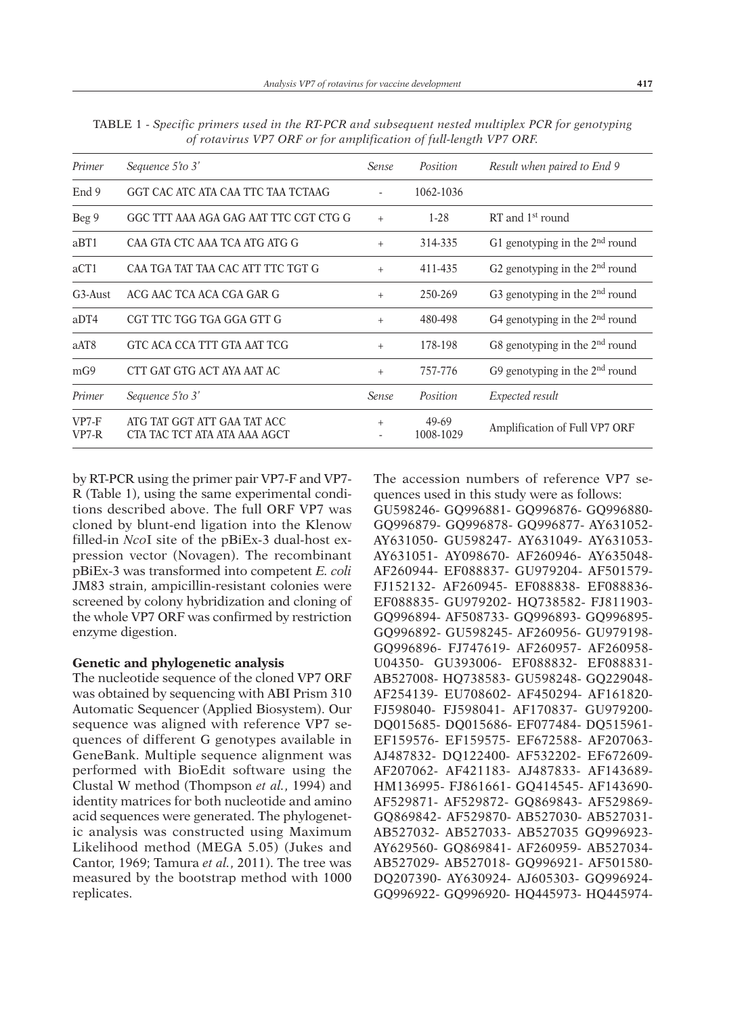|                                                             |                  |                    | Result when paired to End 9      |
|-------------------------------------------------------------|------------------|--------------------|----------------------------------|
| GGT CAC ATC ATA CAA TTC TAA TCTAAG                          |                  | 1062-1036          |                                  |
| GGC TTT AAA AGA GAG AAT TTC CGT CTG G                       | $+$              | $1 - 28$           | RT and $1st$ round               |
| CAA GTA CTC AAA TCA ATG ATG G                               | $^{+}$           | 314-335            | G1 genotyping in the $2nd$ round |
| CAA TGA TAT TAA CAC ATT TTC TGT G                           | $+$              | 411-435            | G2 genotyping in the $2nd$ round |
| ACG AAC TCA ACA CGA GAR G                                   | $+$              | 250-269            | G3 genotyping in the $2nd$ round |
| CGT TTC TGG TGA GGA GTT G                                   | $+$              | 480-498            | G4 genotyping in the $2nd$ round |
| GTC ACA CCA TTT GTA AAT TCG                                 | $^{+}$           | 178-198            | G8 genotyping in the $2nd$ round |
| CTT GAT GTG ACT AYA AAT AC                                  | $+$              | 757-776            | G9 genotyping in the $2nd$ round |
| Sequence 5'to 3'                                            | Sense            | Position           | Expected result                  |
| ATG TAT GGT ATT GAA TAT ACC<br>CTA TAC TCT ATA ATA AAA AGCT | $+$              | 49-69<br>1008-1029 | Amplification of Full VP7 ORF    |
|                                                             | Sequence 5'to 3' | Sense              | Position                         |

TABLE 1 - *Specific primers used in the RT-PCR and subsequent nested multiplex PCR for genotyping of rotavirus VP7 ORF or for amplification of full-length VP7 ORF.*

by RT-PCR using the primer pair VP7-F and VP7- R (Table 1), using the same experimental conditions described above. The full ORF VP7 was cloned by blunt-end ligation into the Klenow filled-in *Nco*I site of the pBiEx-3 dual-host expression vector (Novagen). The recombinant pBiEx-3 was transformed into competent *E. coli* JM83 strain, ampicillin-resistant colonies were screened by colony hybridization and cloning of the whole VP7 ORF was confirmed by restriction enzyme digestion.

#### **Genetic and phylogenetic analysis**

The nucleotide sequence of the cloned VP7 ORF was obtained by sequencing with ABI Prism 310 Automatic Sequencer (Applied Biosystem). Our sequence was aligned with reference VP7 sequences of different G genotypes available in GeneBank. Multiple sequence alignment was performed with BioEdit software using the Clustal W method (Thompson *et al.*, 1994) and identity matrices for both nucleotide and amino acid sequences were generated. The phylogenetic analysis was constructed using Maximum Likelihood method (MEGA 5.05) (Jukes and Cantor, 1969; Tamura *et al.*, 2011). The tree was measured by the bootstrap method with 1000 replicates.

The accession numbers of reference VP7 sequences used in this study were as follows:

GU598246- GQ996881- GQ996876- GQ996880- GQ996879- GQ996878- GQ996877- AY631052- AY631050- GU598247- AY631049- AY631053- AY631051- AY098670- AF260946- AY635048- AF260944- EF088837- GU979204- AF501579- FJ152132- AF260945- EF088838- EF088836- EF088835- GU979202- HQ738582- FJ811903- GQ996894- AF508733- GQ996893- GQ996895- GQ996892- GU598245- AF260956- GU979198- GQ996896- FJ747619- AF260957- AF260958- U04350- GU393006- EF088832- EF088831- AB527008- HQ738583- GU598248- GQ229048- AF254139- EU708602- AF450294- AF161820- FJ598040- FJ598041- AF170837- GU979200- DQ015685- DQ015686- EF077484- DQ515961- EF159576- EF159575- EF672588- AF207063- AJ487832- DQ122400- AF532202- EF672609- AF207062- AF421183- AJ487833- AF143689- HM136995- FJ861661- GQ414545- AF143690- AF529871- AF529872- GQ869843- AF529869- GQ869842- AF529870- AB527030- AB527031- AB527032- AB527033- AB527035 GQ996923- AY629560- GQ869841- AF260959- AB527034- AB527029- AB527018- GQ996921- AF501580- DQ207390- AY630924- AJ605303- GQ996924- GQ996922- GQ996920- HQ445973- HQ445974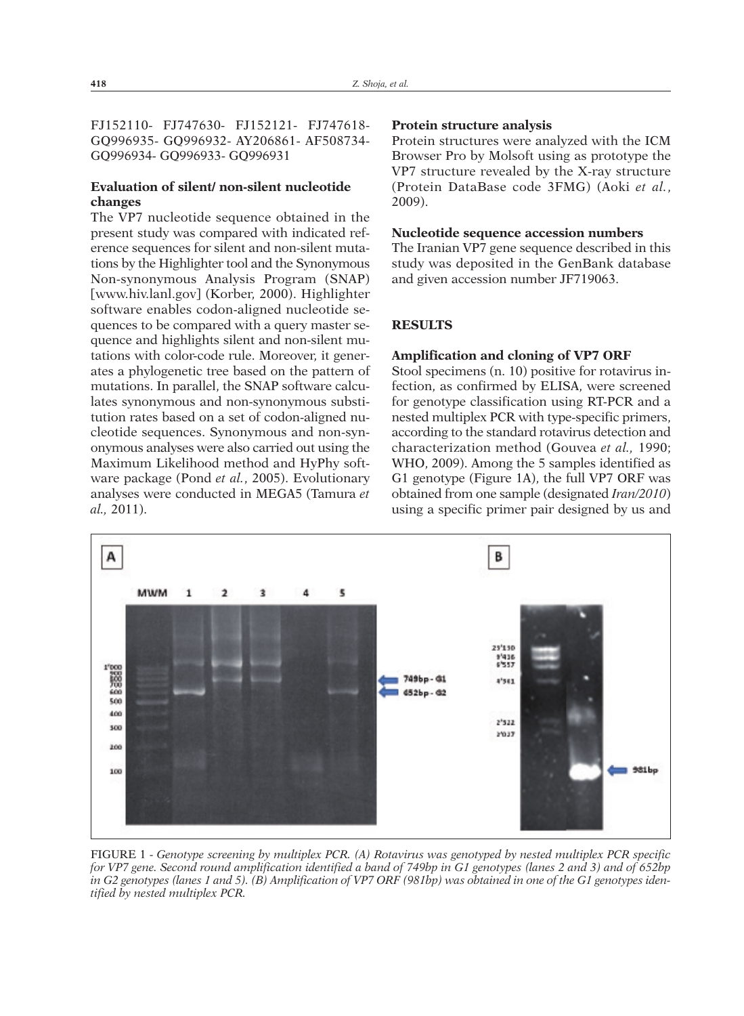FJ152110- FJ747630- FJ152121- FJ747618- GQ996935- GQ996932- AY206861- AF508734- GQ996934- GQ996933- GQ996931

# **Evaluation of silent/ non-silent nucleotide changes**

The VP7 nucleotide sequence obtained in the present study was compared with indicated reference sequences for silent and non-silent mutations by the Highlighter tool and the Synonymous Non-synonymous Analysis Program (SNAP) [www.hiv.lanl.gov] (Korber, 2000). Highlighter software enables codon-aligned nucleotide sequences to be compared with a query master sequence and highlights silent and non-silent mutations with color-code rule. Moreover, it generates a phylogenetic tree based on the pattern of mutations. In parallel, the SNAP software calculates synonymous and non-synonymous substitution rates based on a set of codon-aligned nucleotide sequences. Synonymous and non-synonymous analyses were also carried out using the Maximum Likelihood method and HyPhy software package (Pond *et al.*, 2005). Evolutionary analyses were conducted in MEGA5 (Tamura *et al.,* 2011).

#### **Protein structure analysis**

Protein structures were analyzed with the ICM Browser Pro by Molsoft using as prototype the VP7 structure revealed by the X-ray structure (Protein DataBase code 3FMG) (Aoki *et al.*, 2009).

#### **Nucleotide sequence accession numbers**

The Iranian VP7 gene sequence described in this study was deposited in the GenBank database and given accession number JF719063.

## **RESULTS**

#### **Amplification and cloning of VP7 ORF**

Stool specimens (n. 10) positive for rotavirus infection, as confirmed by ELISA, were screened for genotype classification using RT-PCR and a nested multiplex PCR with type-specific primers, according to the standard rotavirus detection and characterization method (Gouvea *et al.,* 1990; WHO, 2009). Among the 5 samples identified as G1 genotype (Figure 1A), the full VP7 ORF was obtained from one sample (designated *Iran/2010*) using a specific primer pair designed by us and



FIGURE 1 - *Genotype screening by multiplex PCR. (A) Rotavirus was genotyped by nested multiplex PCR specific* for VP7 gene. Second round amplification identified a band of 749bp in G1 genotypes (lanes 2 and 3) and of 652bp in G2 genotypes (lanes 1 and 5). (B) Amplification of VP7 ORF (981bp) was obtained in one of the G1 genotypes iden*tified by nested multiplex PCR.*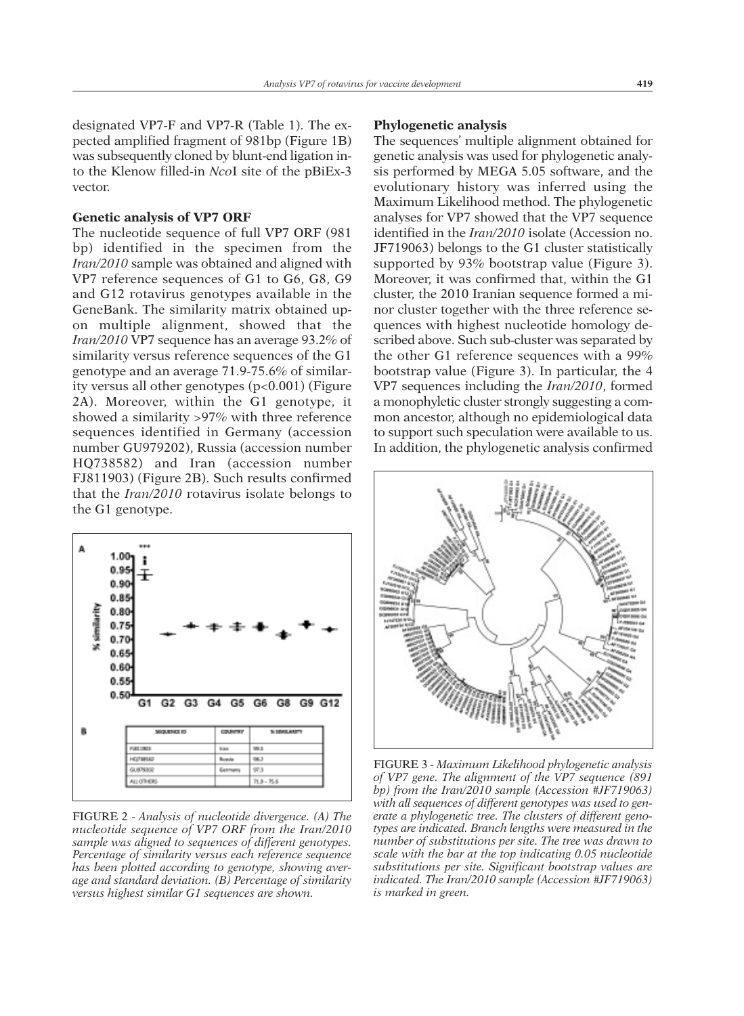designated VP7-F and VP7-R (Table 1). The expected amplified fragment of 981bp (Figure 1B) was subsequently cloned by blunt-end ligation into the Klenow filled-in *Nco*I site of the pBiEx-3 vector.

## **Genetic analysis of VP7 ORF**

The nucleotide sequence of full VP7 ORF (981 bp) identified in the specimen from the *Iran/2010* sample was obtained and aligned with VP7 reference sequences of G1 to G6, G8, G9 and G12 rotavirus genotypes available in the GeneBank. The similarity matrix obtained upon multiple alignment, showed that the *Iran/2010* VP7 sequence has an average 93.2% of similarity versus reference sequences of the G1 genotype and an average 71.9-75.6% of similarity versus all other genotypes (p<0.001) (Figure 2A). Moreover, within the G1 genotype, it showed a similarity >97% with three reference sequences identified in Germany (accession number GU979202), Russia (accession number HQ738582) and Iran (accession number FJ811903) (Figure 2B). Such results confirmed that the *Iran/2010* rotavirus isolate belongs to the G1 genotype.



FIGURE 2 - *Analysis of nucleotide divergence. (A) The nucleotide sequence of VP7 ORF from the Iran/2010 sample was aligned to sequences of different genotypes. Percentage of similarity versus each reference sequence has been plotted according to genotype, showing average and standard deviation. (B) Percentage of similarity versus highest similar G1 sequences are shown.*

#### **Phylogenetic analysis**

The sequences' multiple alignment obtained for genetic analysis was used for phylogenetic analysis performed by MEGA 5.05 software, and the evolutionary history was inferred using the Maximum Likelihood method. The phylogenetic analyses for VP7 showed that the VP7 sequence identified in the *Iran/2010* isolate (Accession no. JF719063) belongs to the G1 cluster statistically supported by 93% bootstrap value (Figure 3). Moreover, it was confirmed that, within the G1 cluster, the 2010 Iranian sequence formed a minor cluster together with the three reference sequences with highest nucleotide homology described above. Such sub-cluster was separated by the other G1 reference sequences with a 99% bootstrap value (Figure 3). In particular, the 4 VP7 sequences including the *Iran/2010*, formed a monophyletic cluster strongly suggesting a common ancestor, although no epidemiological data to support such speculation were available to us. In addition, the phylogenetic analysis confirmed



FIGURE 3 - *Maximum Likelihood phylogenetic analysis of VP7 gene. The alignment of the VP7 sequence (891 bp) from the Iran/2010 sample (Accession #JF719063) with all sequences of different genotypes was used to generate a phylogenetic tree. The clusters of different genotypes are indicated. Branch lengths were measured in the number of substitutions per site. The tree was drawn to scale with the bar at the top indicating 0.05 nucleotide substitutions per site. Significant bootstrap values are indicated. The Iran/2010 sample (Accession #JF719063) is marked in green.*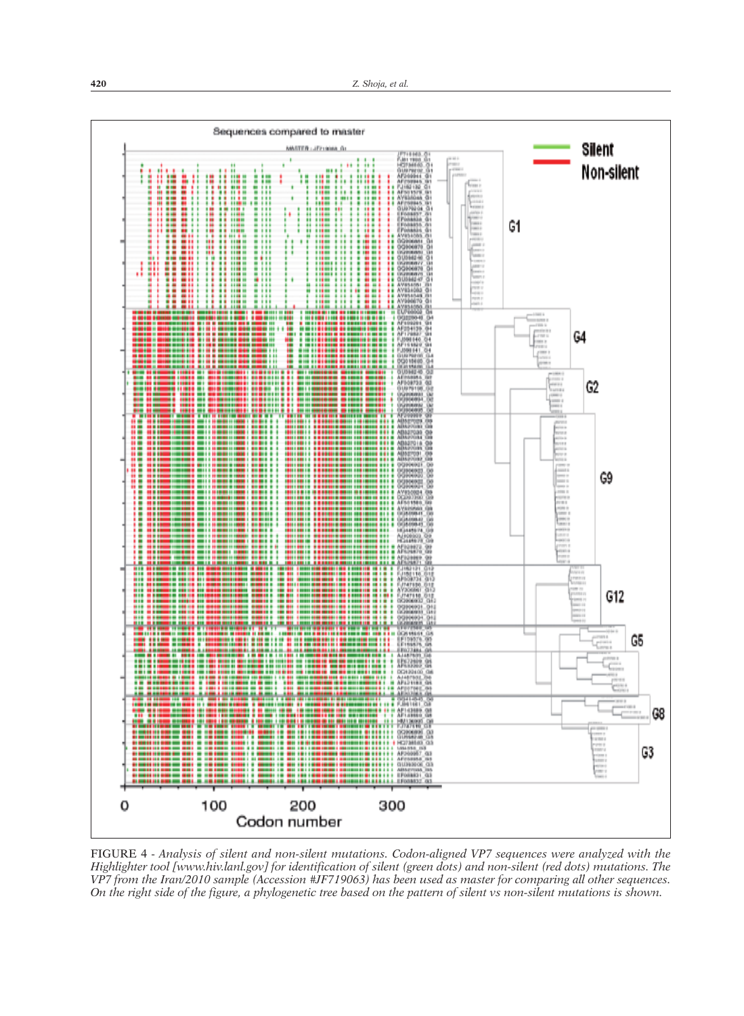

*Highlighter tool [www.hiv.lanl.gov] for identification of silent (green dots) and non-silent (red dots) mutations. The* VP7 from the Iran/2010 sample (Accession #JF719063) has been used as master for comparing all other sequences. On the right side of the figure, a phylogenetic tree based on the pattern of silent vs non-silent mutations is shown.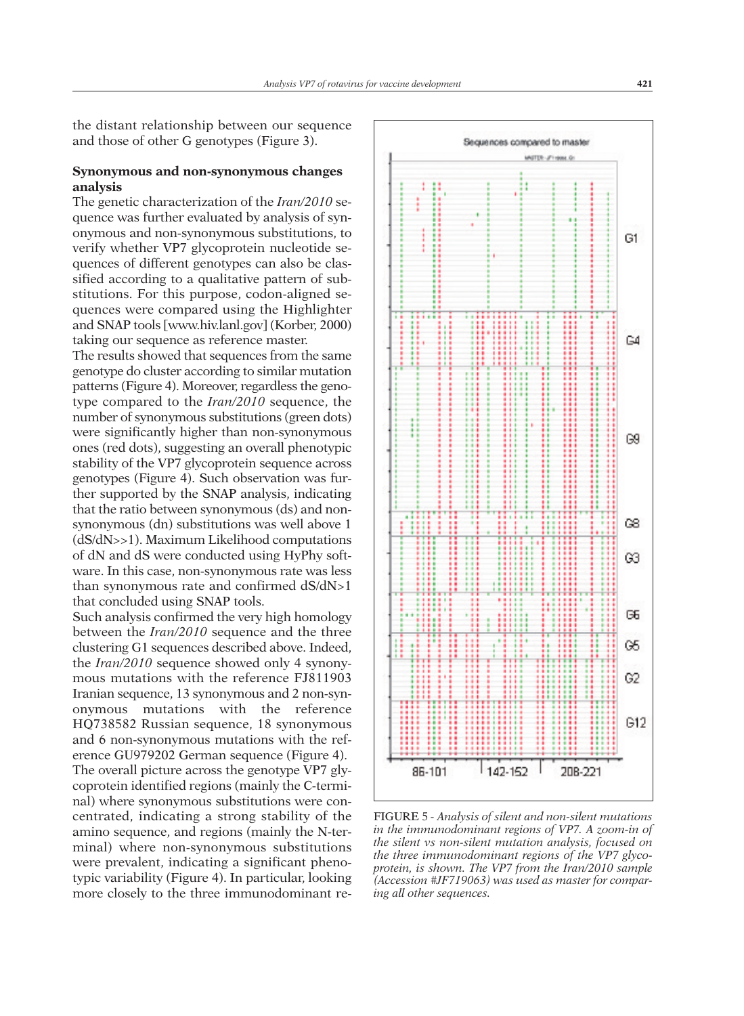the distant relationship between our sequence and those of other G genotypes (Figure 3).

# **Synonymous and non-synonymous changes analysis**

The genetic characterization of the *Iran/2010* sequence was further evaluated by analysis of synonymous and non-synonymous substitutions, to verify whether VP7 glycoprotein nucleotide sequences of different genotypes can also be classified according to a qualitative pattern of substitutions. For this purpose, codon-aligned sequences were compared using the Highlighter and SNAP tools [www.hiv.lanl.gov] (Korber, 2000) taking our sequence as reference master.

The results showed that sequences from the same genotype do cluster according to similar mutation patterns (Figure 4). Moreover, regardless the genotype compared to the *Iran/2010* sequence, the number of synonymous substitutions (green dots) were significantly higher than non-synonymous ones (red dots), suggesting an overall phenotypic stability of the VP7 glycoprotein sequence across genotypes (Figure 4). Such observation was further supported by the SNAP analysis, indicating that the ratio between synonymous (ds) and nonsynonymous (dn) substitutions was well above 1 (dS/dN>>1). Maximum Likelihood computations of dN and dS were conducted using HyPhy software. In this case, non-synonymous rate was less than synonymous rate and confirmed dS/dN>1 that concluded using SNAP tools.

Such analysis confirmed the very high homology between the *Iran/2010* sequence and the three clustering G1 sequences described above. Indeed, the *Iran/2010* sequence showed only 4 synonymous mutations with the reference FJ811903 Iranian sequence, 13 synonymous and 2 non-synonymous mutations with the reference HQ738582 Russian sequence, 18 synonymous and 6 non-synonymous mutations with the reference GU979202 German sequence (Figure 4). The overall picture across the genotype VP7 glycoprotein identified regions (mainly the C-terminal) where synonymous substitutions were concentrated, indicating a strong stability of the amino sequence, and regions (mainly the N-terminal) where non-synonymous substitutions were prevalent, indicating a significant phenotypic variability (Figure 4). In particular, looking more closely to the three immunodominant re-



FIGURE 5 *- Analysis of silent and non-silent mutations in the immunodominant regions of VP7. A zoom-in of the silent vs non-silent mutation analysis, focused on the three immunodominant regions of the VP7 glycoprotein, is shown. The VP7 from the Iran/2010 sample (Accession #JF719063) was used as master for comparing all other sequences.*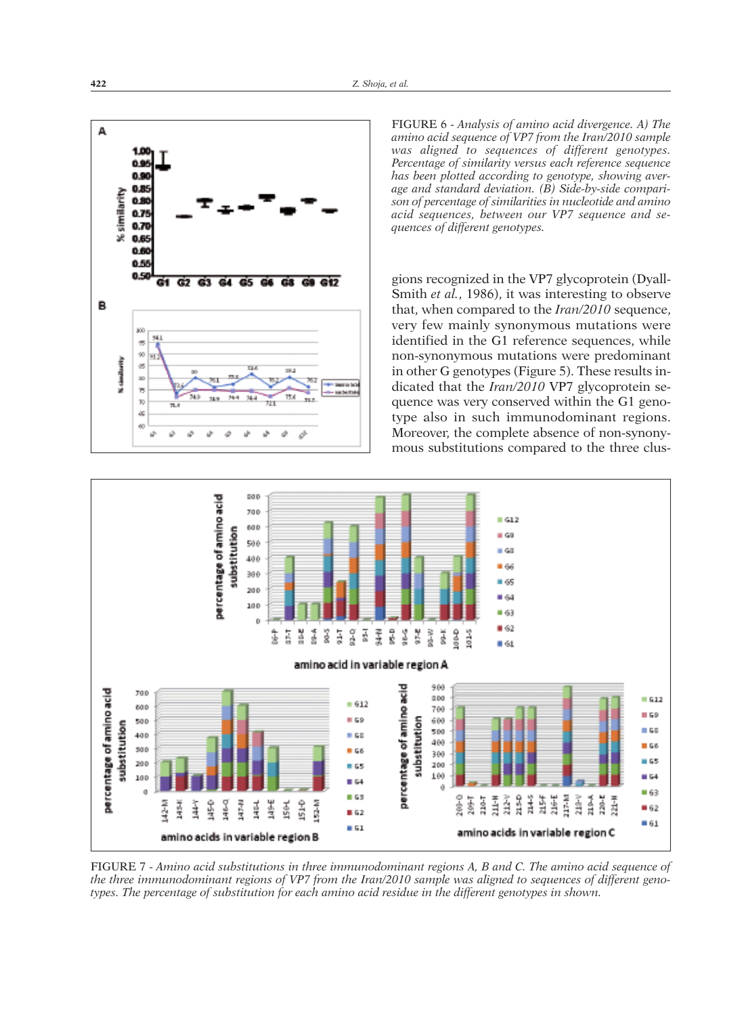

FIGURE 6 - *Analysis of amino acid divergence. A) The amino acid sequence of VP7 from the Iran/2010 sample was aligned to sequences of different genotypes. Percentage of similarity versus each reference sequence has been plotted according to genotype, showing average and standard deviation. (B) Side-by-side comparison of percentage of similarities in nucleotide and amino acid sequences, between our VP7 sequence and sequences of different genotypes.*

gions recognized in the VP7 glycoprotein (Dyall-Smith *et al.*, 1986), it was interesting to observe that, when compared to the *Iran/2010* sequence, very few mainly synonymous mutations were identified in the G1 reference sequences, while non-synonymous mutations were predominant in other G genotypes (Figure 5). These results indicated that the *Iran/2010* VP7 glycoprotein sequence was very conserved within the G1 genotype also in such immunodominant regions. Moreover, the complete absence of non-synonymous substitutions compared to the three clus-



FIGURE 7 - *Amino acid substitutions in three immunodominant regions A, B and C. The amino acid sequence of* the three immunodominant regions of VP7 from the Iran/2010 sample was aligned to sequences of different geno*types. The percentage of substitution for each amino acid residue in the different genotypes in shown.*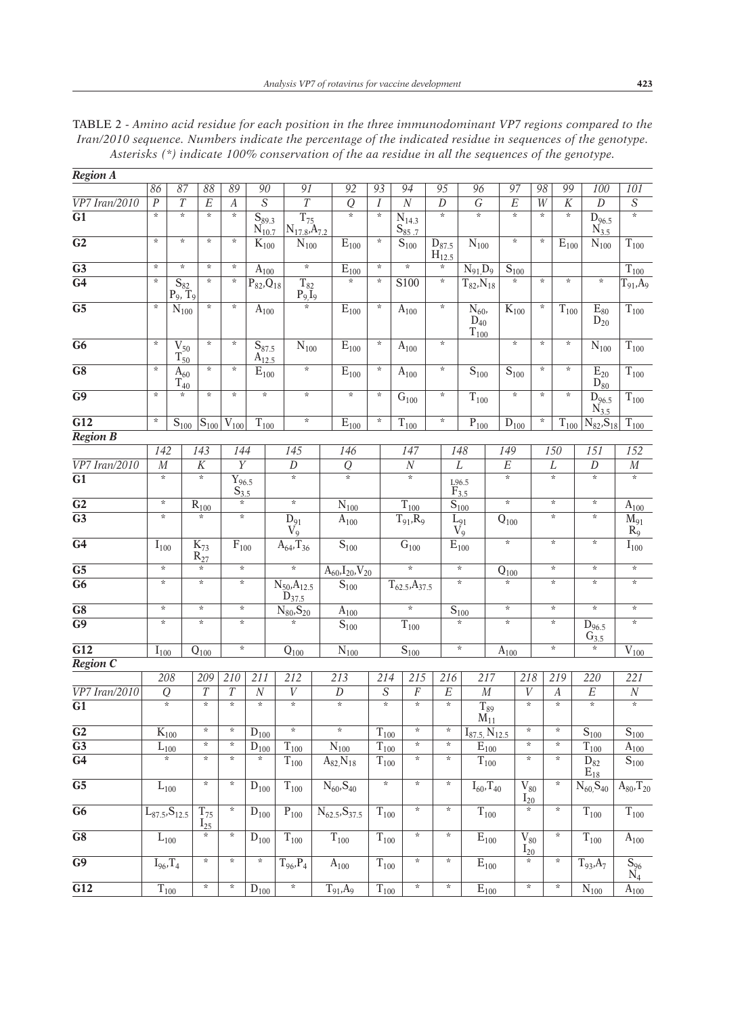| Region A                      |                                       |                                                       |                           |                                    |                                              |                                          |                                  |                           |                                            |                           |                                  |                                                                  |                                     |                                          |                                     |                                             |                                        |
|-------------------------------|---------------------------------------|-------------------------------------------------------|---------------------------|------------------------------------|----------------------------------------------|------------------------------------------|----------------------------------|---------------------------|--------------------------------------------|---------------------------|----------------------------------|------------------------------------------------------------------|-------------------------------------|------------------------------------------|-------------------------------------|---------------------------------------------|----------------------------------------|
|                               | 86                                    | 87                                                    | 88                        | 89                                 | 90                                           | 91                                       | 92                               | 93                        | 94                                         | 95                        |                                  | 96                                                               | 97                                  | 98                                       | 99                                  | 100                                         | 101                                    |
| $\overline{VP7}$ Iran/2010    | $\overline{P}$                        | $\overline{T}$                                        | $\overline{E}$            | $\overline{A}$                     | $\overline{s}$                               | $\overline{T}$                           | $\overline{Q}$                   | $\boldsymbol{I}$          | $\overline{N}$                             | $\overline{D}$            |                                  | $\overline{G}$                                                   | $\overline{E}$                      | $\overline{W}$                           | $\overline{K}$                      | $\overline{D}$                              | $\overline{S}$                         |
| $\overline{G1}$               | $\overline{\ast}$                     | $\star$                                               | $\overline{\ast}$         | $\star$                            | $\overline{S_{89.3}}$<br>$N_{10.7}$          | $\overline{T_{75}}$<br>$N_{17.8}A_{7.2}$ | $\star$                          | $\star$                   | $\overline{\text{N}}_{14.3}$<br>$S_{85.7}$ | $\overline{\ast}$         |                                  | $\overline{\ast}$                                                | $\star$                             | $\star$                                  | $\star$                             | $\overline{\mathrm{D}}_{96.5}$<br>$N_{3.5}$ | $\overline{\ast}$                      |
| $\overline{G2}$               | $\star$                               | $\star$                                               | $\star$                   | $\star$                            | $K_{100}$                                    | $N_{100}$                                | $\overline{E}_{100}$             | $\star$                   | $\overline{S}_{100}$                       | $D_{87.5}$<br>$H_{12.5}$  |                                  | $N_{100}$                                                        | $\star$                             | $\star$                                  | $\overline{E}_{100}$                | $\overline{\text{N}}_{100}$                 | $T_{100}$                              |
| $\overline{G3}$               | $\star$                               | $\star$                                               | $\star$                   | $\star$                            | $\bar{A}_{100}$                              | $\star$                                  | $\overline{E}_{\underline{100}}$ | $\star$                   | $\star$                                    | $\star$                   |                                  | $N_{91}D_{9}$                                                    | $S_{100}$                           |                                          |                                     |                                             | $\overline{T_{100}}$                   |
| G4                            | $\star$                               | $\frac{\mathsf{S}_{82}}{\mathsf{P}_9,\,\mathsf{T}_9}$ | $\star$                   | $\star$                            | $\overline{P}_{82}$ , $Q_{18}$               | $T_{82}$<br>$\frac{P_9I_9}{*}$           | $\star$                          | $\star$                   | S100                                       | $\star$                   |                                  | $T_{82}$ , $N_{18}$                                              | $\star$                             | $\star$                                  | $\star$                             | $\star$                                     | $\overline{T_{91}}$ , $A_9$            |
| $\overline{G5}$               | $\star$                               | $\overline{\text{N}}_{100}$                           | $\star$                   | *                                  | $A_{100}$                                    |                                          | $E_{100}$                        | $\star$                   | $A_{100}$                                  | $\star$                   |                                  | $\overline{N_{60}}$<br>$\overline{\mathrm{D}}_{40}$<br>$T_{100}$ | $\overline{\mathrm{K}}_{100}$       | $\star$                                  | $T_{100}$                           | $\overline{\mathrm{E}}_{80}$<br>$D_{20}$    | $T_{100}$                              |
| $\overline{G6}$               | $\star$                               | $V_{50}$<br>$T_{50}$                                  | $\star$                   | $\star$                            | $\overline{\textbf{S}}_{87.5}$<br>$A_{12.5}$ | $\overline{N}_{100}$                     | $\overline{\mathrm{E}}_{100}$    | $\star$                   | $A_{100}$                                  | $\star$                   |                                  |                                                                  | $\star$                             | $\star$                                  | $\star$                             | $N_{100}$                                   | $\overline{T_{100}}$                   |
| $\overline{G8}$               | $\star$                               | $\bar{\text{A}}_{60}$<br>$T_{40}$                     | $\star$                   | $\star$                            | $\overline{\mathrm{E}}_{100}$                | $\star$                                  | $\overline{\mathrm{E}}_{100}$    | $\star$                   | $\rm A_{100}$                              | $\star$                   |                                  | $S_{100}$                                                        | $\overline{S}_{100}$                | $\star$                                  | $\star$                             | $E_{20}$<br>$D_{80}$                        | $\overline{T_{100}}$                   |
| $\overline{G9}$               | $\star$                               | $\star$                                               | $\star$                   | $\star$                            | $\star$                                      | $\star$                                  | $\star$                          | $\star$                   | G <sub>100</sub>                           | $\star$                   |                                  | $T_{100}$                                                        | $\star$                             | $\star$                                  | $\star$                             | $D_{96.5}$<br>$N_{3.5}$                     | $T_{100}$                              |
| $\overline{G12}$              | $\star$                               | $S_{100}$                                             | $S_{100}$                 | $V_{100}$                          | $T_{100}$                                    | $\star$                                  | $\overline{E}_{100}$             | $\star$                   | $T_{100}$                                  | $\star$                   |                                  | $\overline{P}_{100}$                                             | $\overline{D}_{100}$                | $\star$                                  | $\overline{T_{100}}$                | $N_{82}, S_{18}$                            | $\overline{T}_{100}$                   |
| <b>Region B</b>               |                                       |                                                       |                           |                                    |                                              |                                          |                                  |                           |                                            |                           |                                  |                                                                  |                                     |                                          |                                     |                                             |                                        |
|                               | 142                                   |                                                       | 143                       | 144                                |                                              | 145                                      | 146                              |                           | 147                                        |                           | 148                              |                                                                  | 149                                 |                                          | 150                                 | 151                                         | 152                                    |
| $\overline{VP7 \, Iran/2010}$ | $\overline{M}$<br>$\ast$              |                                                       | $\overline{K}$<br>$\star$ | $\overline{Y}$                     |                                              | $\overline{D}$<br>$\overline{\ast}$      | $\overline{Q}$<br>$\star$        |                           | $\overline{N}$<br>$\overline{\ast}$        |                           | $\overline{L}$                   |                                                                  | $\overline{E}$<br>$\overline{\ast}$ |                                          | $\overline{L}$<br>$\overline{\ast}$ | $\overline{D}$<br>$\star$                   | $\cal M$<br>$\overline{\ast}$          |
| $\overline{G1}$               |                                       |                                                       |                           | $\overline{Y_{96.5}}$<br>$S_{3.5}$ |                                              |                                          |                                  |                           |                                            |                           | $E_{3.5}^{96.5}$                 |                                                                  |                                     |                                          |                                     |                                             |                                        |
| $\overline{G2}$               | $\star$                               |                                                       | $R_{100}$                 | $\star$<br>$\star$                 |                                              | $\star$                                  | $\overline{N}_{100}$             |                           | $\overline{T}_{1\underline{00}}$           |                           | $\overline{S}_{100}$             |                                                                  | $\star$                             |                                          | $\star$                             | $\star$                                     | $A_{100}$                              |
| $\overline{G3}$               | $\star$                               |                                                       | $\star$                   |                                    |                                              | $\overline{D}_{91}$<br>$V_9$             | $\rm A_{100}$                    |                           | $T_{91}$ , $R_9$                           |                           | $\frac{L_{91}}{V_9}$             |                                                                  | $\overline{\textbf{Q}}_{100}$       |                                          | $\star$                             | $\star$                                     | $\overline{M}_{91}$<br>$R_9$           |
| $\overline{G4}$               | $\bar{I}_{100}$                       |                                                       | $K_{73}$<br>$R_{27}$      | $F_{100}$                          |                                              | $A_{64}$ , T <sub>36</sub>               | $\overline{S}_{100}$             |                           | $\overline{\mathrm{G}}_{100}$              |                           | $E_{100}$                        |                                                                  | $\star$                             |                                          | $\star$                             | $\star$                                     | $\bar{I}_{100}$                        |
| $\overline{G5}$               | $\star$                               |                                                       | $\star$                   | $\star$                            |                                              | $\star$                                  | $A_{60}$ , $I_{20}$ , $V_{20}$   |                           | $\star$                                    |                           | $\star$                          |                                                                  | $Q_{100}$                           |                                          | $\star$                             | $\star$                                     | $\star$                                |
| $\overline{G6}$               | $\star$                               |                                                       | $\star$                   | $\star$                            |                                              | $N_{50}, A_{12.5}$<br>$D_{37.5}$         | $S_{100}$                        |                           | $T_{62.5}A_{37.5}$                         |                           | $\star$                          |                                                                  | $\star$                             |                                          | $\star$                             | $\star$                                     | $\star$                                |
| $\overline{G8}$               | $\star$                               |                                                       | $\star$                   | $\star$                            |                                              | $N_{80}$ , $S_{20}$                      | $\bar{A}_{100}$                  |                           | $\star$                                    |                           | $\underline{\overline{S}_{100}}$ |                                                                  | $\star$                             |                                          | $\star$                             | $\star$                                     | $\star$                                |
| $\overline{G9}$               | $\star$                               |                                                       | $\star$                   | $\star$                            |                                              | $\overline{\ast}$                        | $S_{100}$                        |                           | $T_{100}$                                  |                           | $\star$                          |                                                                  | $\star$                             | $\star$                                  |                                     | $\mathrm{D}_{96.5}$<br>$G_{3.5}$            | $\star$                                |
| $\overline{G12}$              | $I_{100}$                             |                                                       | $Q_{100}$                 | $\star$                            |                                              | $\overline{\text{Q}}_{\underline{100}}$  | $N_{100}$                        |                           | $\overline{S}_{\underline{100}}$           |                           | $\star$                          |                                                                  | $\overline{A}_{100}$                |                                          | $\star$                             | $\star$                                     | $\rm \overline{V}_{100}$               |
| <b>Region C</b>               |                                       |                                                       |                           |                                    |                                              |                                          |                                  |                           |                                            |                           |                                  |                                                                  |                                     |                                          |                                     |                                             |                                        |
|                               | 208                                   |                                                       | 209                       | 210                                | $\overline{211}$                             | 212                                      | $\overline{213}$                 | 214                       | 215                                        | 216                       |                                  | 217                                                              |                                     | 218                                      | 219                                 | 220                                         | $\overline{221}$                       |
| $\overline{VP7}$ Iran/2010    | $\overline{Q}$<br>$\overline{\ast}$   |                                                       | $\overline{T}$<br>$\star$ | $\overline{T}$<br>$\star$          | $\overline{N}$<br>$\star$                    | $\overline{V}$<br>$\star$                | $\overline{D}$<br>$\star$        | $\overline{S}$<br>$\star$ | $\overline{F}$<br>$\star$                  | $\overline{E}$<br>$\star$ |                                  | $\overline{M}$                                                   |                                     | $\overline{V}$<br>$\star$                | $\boldsymbol{A}$<br>$\star$         | $\overline{E}$<br>$\star$                   | $\overline{N}$<br>$\overline{\ast}$    |
| $\overline{G1}$               |                                       |                                                       | $\star$                   | $\star$                            |                                              |                                          |                                  |                           | $\star$                                    | $\star$                   |                                  | $\overline{T_{89}}$<br>$\widetilde{M_{11}}$                      |                                     | $\star$                                  |                                     |                                             |                                        |
| $\overline{G2}$               | $\overline{K_{100}}$                  |                                                       | *.                        | $\star$                            | $D_{100}$                                    | $\star$                                  | $\star$                          | $T_{100}$                 | $\star$                                    | $\star$                   |                                  | $I_{87.5}$ , $N_{12.5}$                                          |                                     | $\star$                                  | $\star$<br>$\star$                  | $\overline{S}_{100}$                        | $S_{100}$                              |
| $\overline{G3}$               | $\underbrace{\overline{L}_{100}}_{*}$ |                                                       | $\star$                   | $\star$                            | $\underline{\overline{D}_{100}}$<br>$\ast$   | $\rm T_{100}$                            | $\overline{\text{N}}_{100}$      | $\overline{T_{100}}$      | $\star$                                    | $\star$                   |                                  | $\overline{E}_{100}$                                             |                                     | $\star$                                  | $\star$                             | $T_{100}$                                   | $\overline{A}_{100}$                   |
| $\overline{G4}$               |                                       |                                                       |                           |                                    |                                              | $T_{100}$                                | $A_{82}N_{18}$                   | $\rm T_{100}$             |                                            |                           |                                  | $\overline{T}_{100}$                                             |                                     |                                          |                                     | $D_{82}$<br>$E_{18}$                        | $\bar{S}_{100}$                        |
| $\overline{G5}$               | $L_{100}$                             |                                                       | $\star$                   | $\star$                            | $\mathrm{D}_{100}$                           | $T_{100}$                                | $N_{60}$ , S <sub>40</sub>       | $\ast$                    | $\star$                                    | $\star$                   |                                  | $I_{60}$ , T <sub>40</sub>                                       |                                     | $\overline{\mathrm{V}}_{80}$<br>$I_{20}$ | $\star$                             | $N_{60}S_{40}$                              | $A_{80}$ , $T_{20}$                    |
| $\overline{G6}$               | $\overline{L_{87.5}}$ , $S_{12.5}$    |                                                       | $T_{75}$<br>$I_{25}$      | $\star$                            | $D_{100}$                                    | $\mathbf{P}_{100}$                       | $N_{62.5}$ , $S_{37.5}$          | $\rm T_{100}$             | $\ast$                                     | $\star$                   |                                  | $T_{100}$                                                        |                                     | $\star$                                  | $\star$                             | $T_{100}$                                   | $\overline{T_{100}}$                   |
| $\overline{G8}$               | $L_{100}$                             |                                                       |                           | $\star$                            | $D_{100}$                                    | $T_{100}$                                | $T_{100}$                        | $\overline{T}_{100}$      | $\star$                                    | $\star$                   |                                  | $E_{100}$                                                        |                                     | $\overline{\mathrm{V}}_{80}$<br>$I_{20}$ | $\star$                             | $T_{100}$                                   | $A_{100}$                              |
| $\overline{G9}$               | $I_{96}$ , $T_4$                      |                                                       | $\star$                   | $\star$                            | $\star$                                      | $\overline{T_{96}}$ , $P_4$              | $A_{100}$                        | $T_{100}$                 | $\ast$                                     | $\star$                   |                                  | $\overline{E}_{100}$                                             |                                     | $\star$                                  | $\star$                             | $T_{93}A_7$                                 | $\frac{\mathsf{S}_{96}}{\mathsf{N}_4}$ |
| $\overline{G12}$              | $T_{100}$                             |                                                       | $\star$                   | $\ast$                             | $D_{100}$                                    | $\overline{\ast}$                        | $T_{91}, A_9$                    | $T_{100}$                 | $\ast$                                     | $\ast$                    |                                  | $E_{100}$                                                        |                                     | $\star$                                  | $\star$                             | $\overline{N}_{100}$                        | $A_{100}$                              |

TABLE 2 - *Amino acid residue for each position in the three immunodominant VP7 regions compared to the Iran/2010 sequence. Numbers indicate the percentage of the indicated residue in sequences of the genotype. Asterisks (\*) indicate 100% conservation of the aa residue in all the sequences of the genotype.*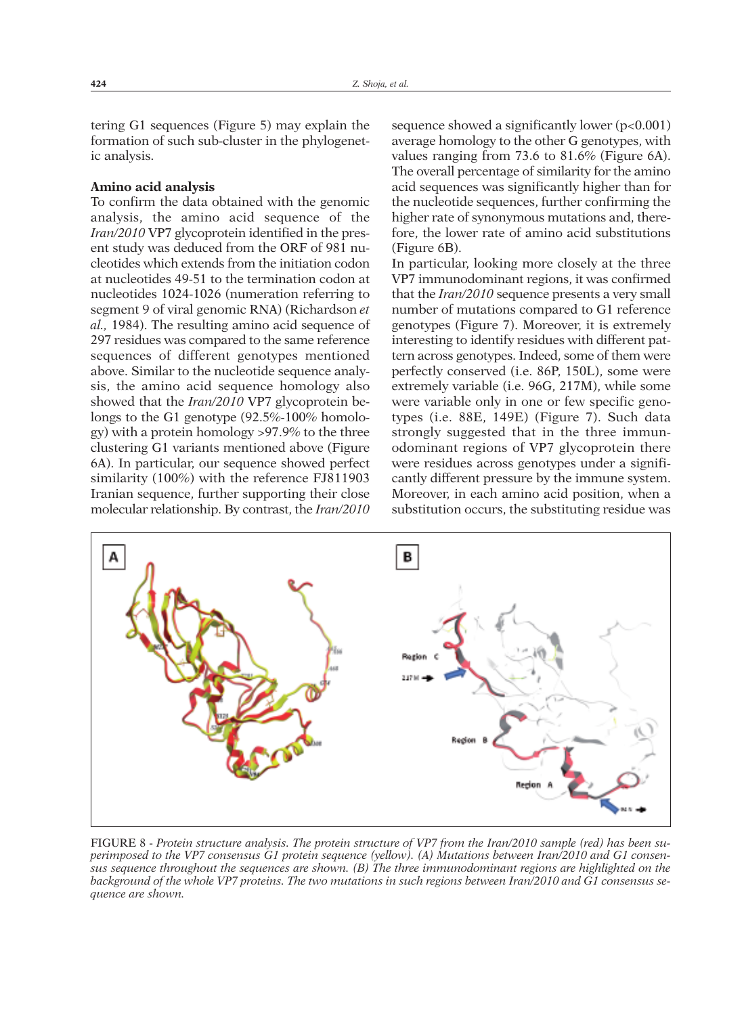tering G1 sequences (Figure 5) may explain the formation of such sub-cluster in the phylogenetic analysis.

# **Amino acid analysis**

To confirm the data obtained with the genomic analysis, the amino acid sequence of the *Iran/2010* VP7 glycoprotein identified in the present study was deduced from the ORF of 981 nucleotides which extends from the initiation codon at nucleotides 49-51 to the termination codon at nucleotides 1024-1026 (numeration referring to segment 9 of viral genomic RNA) (Richardson *et al.,* 1984). The resulting amino acid sequence of 297 residues was compared to the same reference sequences of different genotypes mentioned above. Similar to the nucleotide sequence analysis, the amino acid sequence homology also showed that the *Iran/2010* VP7 glycoprotein belongs to the G1 genotype (92.5%-100% homology) with a protein homology >97.9% to the three clustering G1 variants mentioned above (Figure 6A). In particular, our sequence showed perfect similarity (100%) with the reference FJ811903 Iranian sequence, further supporting their close molecular relationship. By contrast, the *Iran/2010*

sequence showed a significantly lower  $(p<0.001)$ average homology to the other G genotypes, with values ranging from 73.6 to 81.6% (Figure 6A). The overall percentage of similarity for the amino acid sequences was significantly higher than for the nucleotide sequences, further confirming the higher rate of synonymous mutations and, therefore, the lower rate of amino acid substitutions (Figure 6B).

In particular, looking more closely at the three VP7 immunodominant regions, it was confirmed that the *Iran/2010* sequence presents a very small number of mutations compared to G1 reference genotypes (Figure 7). Moreover, it is extremely interesting to identify residues with different pattern across genotypes. Indeed, some of them were perfectly conserved (i.e. 86P, 150L), some were extremely variable (i.e. 96G, 217M), while some were variable only in one or few specific genotypes (i.e. 88E, 149E) (Figure 7). Such data strongly suggested that in the three immunodominant regions of VP7 glycoprotein there were residues across genotypes under a significantly different pressure by the immune system. Moreover, in each amino acid position, when a substitution occurs, the substituting residue was



FIGURE 8 - Protein structure analysis. The protein structure of VP7 from the Iran/2010 sample (red) has been su*perimposed to the VP7 consensus G1 protein sequence (yellow). (A) Mutations between Iran/2010 and G1 consensus sequence throughout the sequences are shown. (B) The three immunodominant regions are highlighted on the* background of the whole VP7 proteins. The two mutations in such regions between Iran/2010 and G1 consensus se*quence are shown.*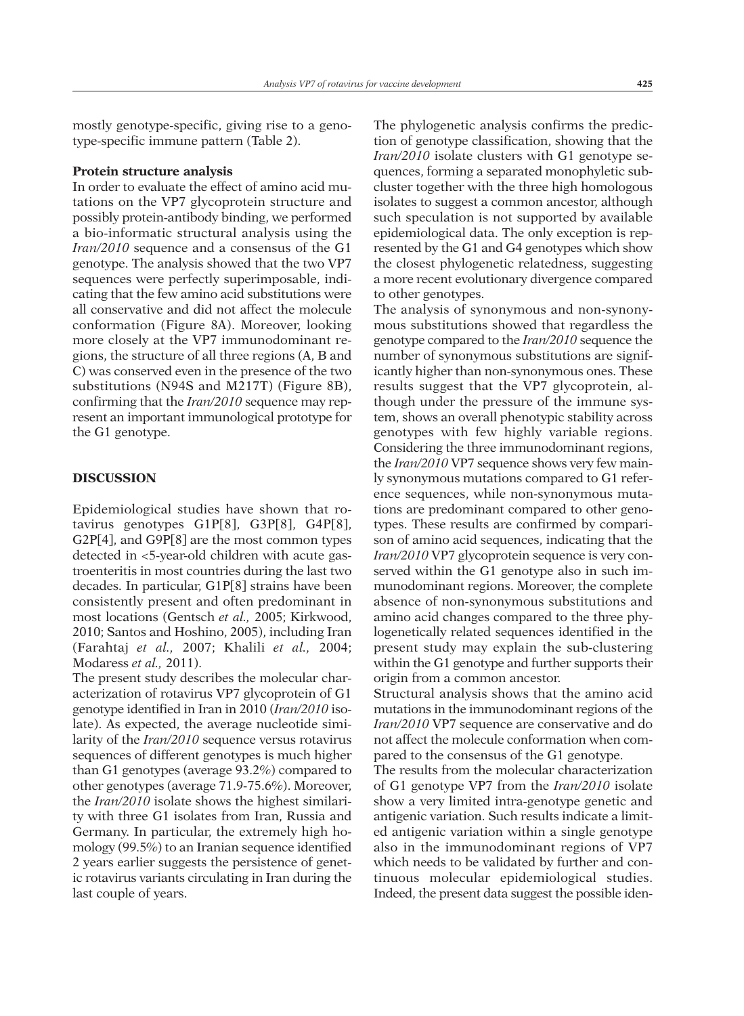mostly genotype-specific, giving rise to a genotype-specific immune pattern (Table 2).

### **Protein structure analysis**

In order to evaluate the effect of amino acid mutations on the VP7 glycoprotein structure and possibly protein-antibody binding, we performed a bio-informatic structural analysis using the *Iran/2010* sequence and a consensus of the G1 genotype. The analysis showed that the two VP7 sequences were perfectly superimposable, indicating that the few amino acid substitutions were all conservative and did not affect the molecule conformation (Figure 8A). Moreover, looking more closely at the VP7 immunodominant regions, the structure of all three regions (A, B and C) was conserved even in the presence of the two substitutions (N94S and M217T) (Figure 8B), confirming that the *Iran/2010* sequence may represent an important immunological prototype for the G1 genotype.

#### **DISCUSSION**

Epidemiological studies have shown that rotavirus genotypes G1P[8], G3P[8], G4P[8], G2P[4], and G9P[8] are the most common types detected in <5-year-old children with acute gastroenteritis in most countries during the last two decades. In particular, G1P[8] strains have been consistently present and often predominant in most locations (Gentsch *et al.,* 2005; Kirkwood, 2010; Santos and Hoshino, 2005), including Iran (Farahtaj *et al.,* 2007; Khalili *et al.,* 2004; Modaress *et al.,* 2011).

The present study describes the molecular characterization of rotavirus VP7 glycoprotein of G1 genotype identified in Iran in 2010 (*Iran/2010* isolate). As expected, the average nucleotide similarity of the *Iran/2010* sequence versus rotavirus sequences of different genotypes is much higher than G1 genotypes (average 93.2%) compared to other genotypes (average 71.9-75.6%). Moreover, the *Iran/2010* isolate shows the highest similarity with three G1 isolates from Iran, Russia and Germany. In particular, the extremely high homology (99.5%) to an Iranian sequence identified 2 years earlier suggests the persistence of genetic rotavirus variants circulating in Iran during the last couple of years.

The phylogenetic analysis confirms the prediction of genotype classification, showing that the *Iran/2010* isolate clusters with G1 genotype sequences, forming a separated monophyletic subcluster together with the three high homologous isolates to suggest a common ancestor, although such speculation is not supported by available epidemiological data. The only exception is represented by the G1 and G4 genotypes which show the closest phylogenetic relatedness, suggesting a more recent evolutionary divergence compared to other genotypes.

The analysis of synonymous and non-synonymous substitutions showed that regardless the genotype compared to the *Iran/2010* sequence the number of synonymous substitutions are significantly higher than non-synonymous ones. These results suggest that the VP7 glycoprotein, although under the pressure of the immune system, shows an overall phenotypic stability across genotypes with few highly variable regions. Considering the three immunodominant regions, the *Iran/2010* VP7 sequence shows very few mainly synonymous mutations compared to G1 reference sequences, while non-synonymous mutations are predominant compared to other genotypes. These results are confirmed by comparison of amino acid sequences, indicating that the *Iran/2010* VP7 glycoprotein sequence is very conserved within the G1 genotype also in such immunodominant regions. Moreover, the complete absence of non-synonymous substitutions and amino acid changes compared to the three phylogenetically related sequences identified in the present study may explain the sub-clustering within the G1 genotype and further supports their origin from a common ancestor.

Structural analysis shows that the amino acid mutations in the immunodominant regions of the *Iran/2010* VP7 sequence are conservative and do not affect the molecule conformation when compared to the consensus of the G1 genotype.

The results from the molecular characterization of G1 genotype VP7 from the *Iran/2010* isolate show a very limited intra-genotype genetic and antigenic variation. Such results indicate a limited antigenic variation within a single genotype also in the immunodominant regions of VP7 which needs to be validated by further and continuous molecular epidemiological studies. Indeed, the present data suggest the possible iden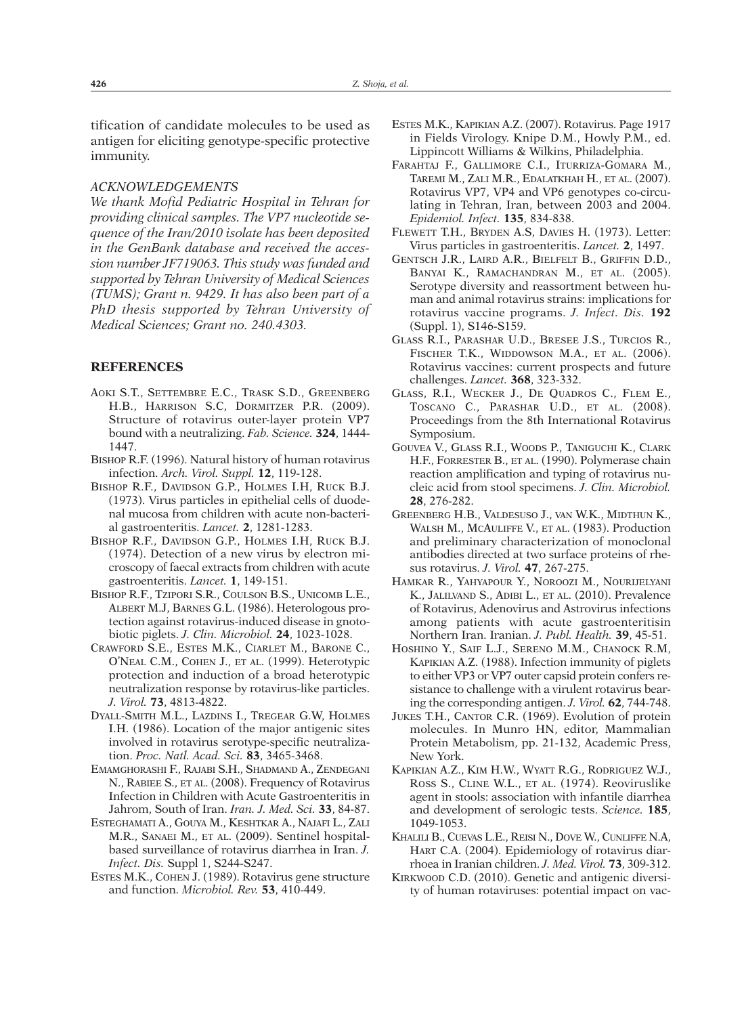tification of candidate molecules to be used as antigen for eliciting genotype-specific protective immunity.

## *ACKNOWLEDGEMENTS*

*We thank Mofid Pediatric Hospital in Tehran for providing clinical samples. The VP7 nucleotide sequence of the Iran/2010 isolate has been deposited in the GenBank database and received the accession number JF719063. This study was funded and supported by Tehran University of Medical Sciences (TUMS); Grant n. 9429. It has also been part of a PhD thesis supported by Tehran University of Medical Sciences; Grant no. 240.4303.*

#### **REFERENCES**

- AOKI S.T., SETTEMBRE E.C., TRASK S.D., GREENBERG H.B., HARRISON S.C, DORMITZER P.R. (2009). Structure of rotavirus outer-layer protein VP7 bound with a neutralizing. *Fab. Science.* **324**, 1444- 1447.
- BISHOP R.F. (1996). Natural history of human rotavirus infection. *Arch. Virol. Suppl.* **12**, 119-128.
- BISHOP R.F., DAVIDSON G.P., HOLMES I.H, RUCK B.J. (1973). Virus particles in epithelial cells of duodenal mucosa from children with acute non-bacterial gastroenteritis. *Lancet.* **2**, 1281-1283.
- BISHOP R.F., DAVIDSON G.P., HOLMES I.H, RUCK B.J. (1974). Detection of a new virus by electron microscopy of faecal extracts from children with acute gastroenteritis. *Lancet.* **1**, 149-151.
- BISHOP R.F., TZIPORI S.R., COULSON B.S., UNICOMB L.E., ALBERT M.J, BARNES G.L. (1986). Heterologous protection against rotavirus-induced disease in gnotobiotic piglets. *J. Clin. Microbiol.* **24**, 1023-1028.
- CRAWFORD S.E., ESTES M.K., CIARLET M., BARONE C., O'NEAL C.M., COHEN J., ET AL. (1999). Heterotypic protection and induction of a broad heterotypic neutralization response by rotavirus-like particles. *J. Virol.* **73**, 4813-4822.
- DYALL-SMITH M.L., LAZDINS I., TREGEAR G.W, HOLMES I.H. (1986). Location of the major antigenic sites involved in rotavirus serotype-specific neutralization. *Proc. Natl. Acad. Sci.* **83**, 3465-3468.
- EMAMGHORASHI F., RAJABI S.H., SHADMAND A., ZENDEGANI N., RABIEE S., ET AL. (2008). Frequency of Rotavirus Infection in Children with Acute Gastroenteritis in Jahrom, South of Iran. *Iran. J. Med. Sci.* **33**, 84-87.
- ESTEGHAMATI A., GOUYA M., KESHTKAR A., NAJAFI L., ZALI M.R., SANAEI M., ET AL. (2009). Sentinel hospitalbased surveillance of rotavirus diarrhea in Iran. *J. Infect. Dis.* Suppl 1, S244-S247.
- ESTES M.K., COHEN J. (1989). Rotavirus gene structure and function. *Microbiol. Rev.* **53**, 410-449.
- ESTES M.K., KAPIKIAN A.Z. (2007). Rotavirus. Page 1917 in Fields Virology. Knipe D.M., Howly P.M., ed. Lippincott Williams & Wilkins, Philadelphia.
- FARAHTAJ F., GALLIMORE C.I., ITURRIZA-GOMARA M., TAREMI M., ZALI M.R., EDALATKHAH H., ET AL. (2007). Rotavirus VP7, VP4 and VP6 genotypes co-circulating in Tehran, Iran, between 2003 and 2004. *Epidemiol. Infect.* **135**, 834-838.
- FLEWETT T.H., BRYDEN A.S, DAVIES H. (1973). Letter: Virus particles in gastroenteritis. *Lancet.* **2**, 1497.
- GENTSCH J.R., LAIRD A.R., BIELFELT B., GRIFFIN D.D., BANYAI K., RAMACHANDRAN M., ET AL. (2005). Serotype diversity and reassortment between human and animal rotavirus strains: implications for rotavirus vaccine programs. *J. Infect. Dis.* **192** (Suppl. 1), S146-S159.
- GLASS R.I., PARASHAR U.D., BRESEE J.S., TURCIOS R., FISCHER T.K., WIDDOWSON M.A., ET AL. (2006). Rotavirus vaccines: current prospects and future challenges. *Lancet.* **368**, 323-332.
- GLASS, R.I., WECKER J., DE QUADROS C., FLEM E., TOSCANO C., PARASHAR U.D., ET AL. (2008). Proceedings from the 8th International Rotavirus Symposium.
- GOUVEA V., GLASS R.I., WOODS P., TANIGUCHI K., CLARK H.F., FORRESTER B., ET AL. (1990). Polymerase chain reaction amplification and typing of rotavirus nucleic acid from stool specimens. *J. Clin. Microbiol.* **28**, 276-282.
- GREENBERG H.B., VALDESUSO J., VAN W.K., MIDTHUN K., WALSH M., MCAULIFFE V., ET AL. (1983). Production and preliminary characterization of monoclonal antibodies directed at two surface proteins of rhesus rotavirus. *J. Virol.* **47**, 267-275.
- HAMKAR R., YAHYAPOUR Y., NOROOZI M., NOURIJELYANI K., JALILVAND S., ADIBI L., ET AL. (2010). Prevalence of Rotavirus, Adenovirus and Astrovirus infections among patients with acute gastroenteritisin Northern Iran. Iranian. *J. Publ. Health.* **39**, 45-51.
- HOSHINO Y., SAIF L.J., SERENO M.M., CHANOCK R.M, KAPIKIAN A.Z. (1988). Infection immunity of piglets to either VP3 or VP7 outer capsid protein confers resistance to challenge with a virulent rotavirus bearing the corresponding antigen. *J. Virol.* **62**, 744-748.
- JUKES T.H., CANTOR C.R. (1969). Evolution of protein molecules. In Munro HN, editor, Mammalian Protein Metabolism, pp. 21-132, Academic Press, New York.
- KAPIKIAN A.Z., KIM H.W., WYATT R.G., RODRIGUEZ W.J., ROSS S., CLINE W.L., ET AL. (1974). Reoviruslike agent in stools: association with infantile diarrhea and development of serologic tests. *Science.* **185**, 1049-1053.
- KHALILI B., CUEVAS L.E., REISI N., DOVE W., CUNLIFFE N.A, HART C.A. (2004). Epidemiology of rotavirus diarrhoea in Iranian children. *J. Med. Virol.* **73**, 309-312.
- KIRKWOOD C.D. (2010). Genetic and antigenic diversity of human rotaviruses: potential impact on vac-